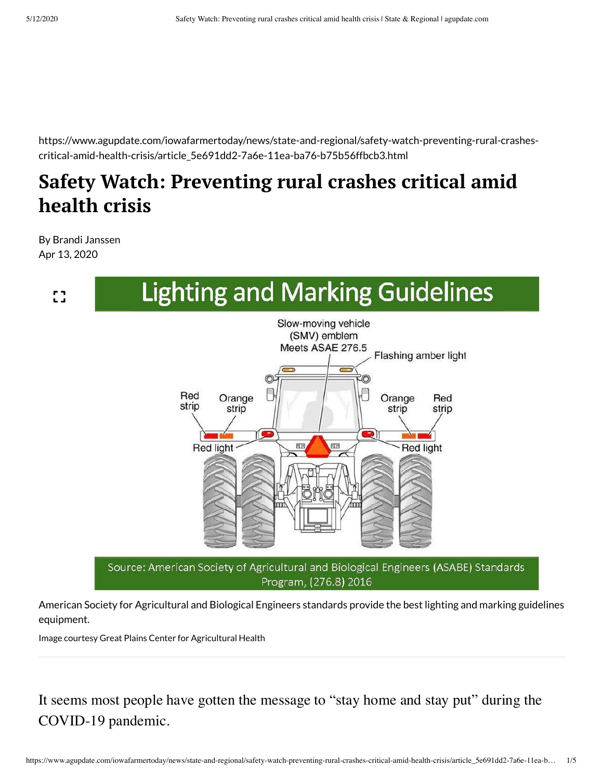https://www.agupdate.com/iowafarmertoday/news/state-and-regional/safety-watch-preventing-rural-crashescritical-amid-health-crisis/article\_5e691dd2-7a6e-11ea-ba76-b75b56ffbcb3.html

## **Safety Watch: Preventing rural crashes critical amid health crisis**

By Brandi Janssen Apr 13, 2020



American Society for Agricultural and Biological Engineers standards provide the best lighting and marking guidelines equipment.

Image courtesy Great Plains Center for Agricultural Health

It seems most people have gotten the message to "stay home and stay put" during the COVID-19 pandemic.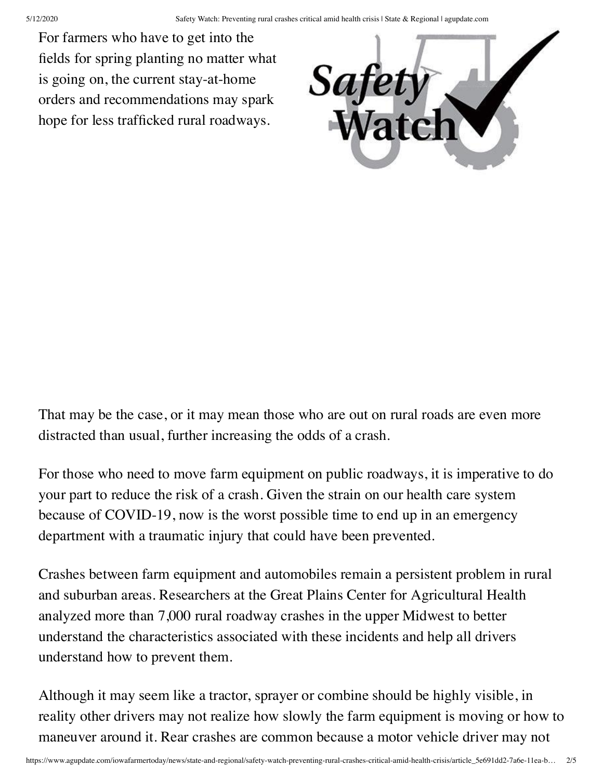For farmers who have to get into the fields for spring planting no matter what is going on, the current stay-at-home orders and recommendations may spark hope for less trafficked rural roadways.



That may be the case, or it may mean those who are out on rural roads are even more distracted than usual, further increasing the odds of a crash.

For those who need to move farm equipment on public roadways, it is imperative to do your part to reduce the risk of a crash. Given the strain on our health care system because of COVID-19, now is the worst possible time to end up in an emergency department with a traumatic injury that could have been prevented.

Crashes between farm equipment and automobiles remain a persistent problem in rural and suburban areas. Researchers at the Great Plains Center for Agricultural Health analyzed more than 7,000 rural roadway crashes in the upper Midwest to better understand the characteristics associated with these incidents and help all drivers understand how to prevent them.

Although it may seem like a tractor, sprayer or combine should be highly visible, in reality other drivers may not realize how slowly the farm equipment is moving or how to maneuver around it. Rear crashes are common because a motor vehicle driver may not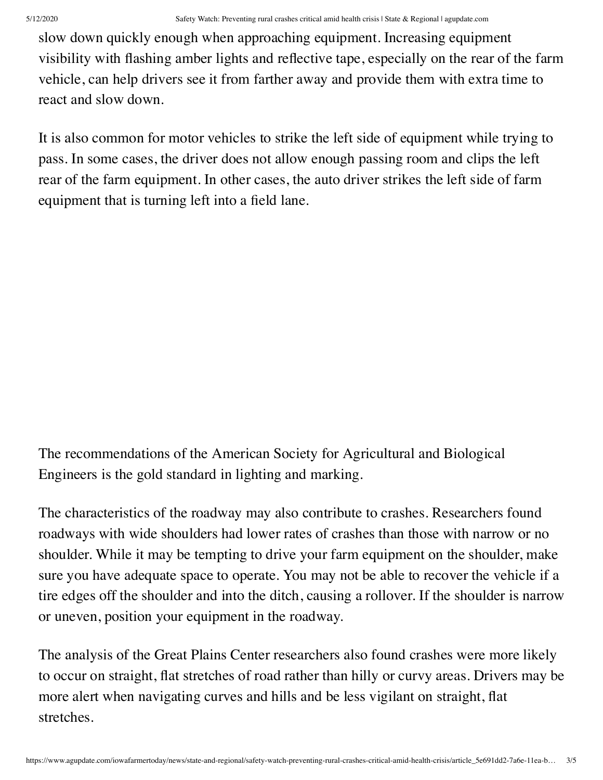slow down quickly enough when approaching equipment. Increasing equipment visibility with flashing amber lights and reflective tape, especially on the rear of the farm vehicle, can help drivers see it from farther away and provide them with extra time to react and slow down.

It is also common for motor vehicles to strike the left side of equipment while trying to pass. In some cases, the driver does not allow enough passing room and clips the left rear of the farm equipment. In other cases, the auto driver strikes the left side of farm equipment that is turning left into a field lane.

The recommendations of the American Society for Agricultural and Biological Engineers is the gold standard in lighting and marking.

The characteristics of the roadway may also contribute to crashes. Researchers found roadways with wide shoulders had lower rates of crashes than those with narrow or no shoulder. While it may be tempting to drive your farm equipment on the shoulder, make sure you have adequate space to operate. You may not be able to recover the vehicle if a tire edges off the shoulder and into the ditch, causing a rollover. If the shoulder is narrow or uneven, position your equipment in the roadway.

The analysis of the Great Plains Center researchers also found crashes were more likely to occur on straight, flat stretches of road rather than hilly or curvy areas. Drivers may be more alert when navigating curves and hills and be less vigilant on straight, flat stretches.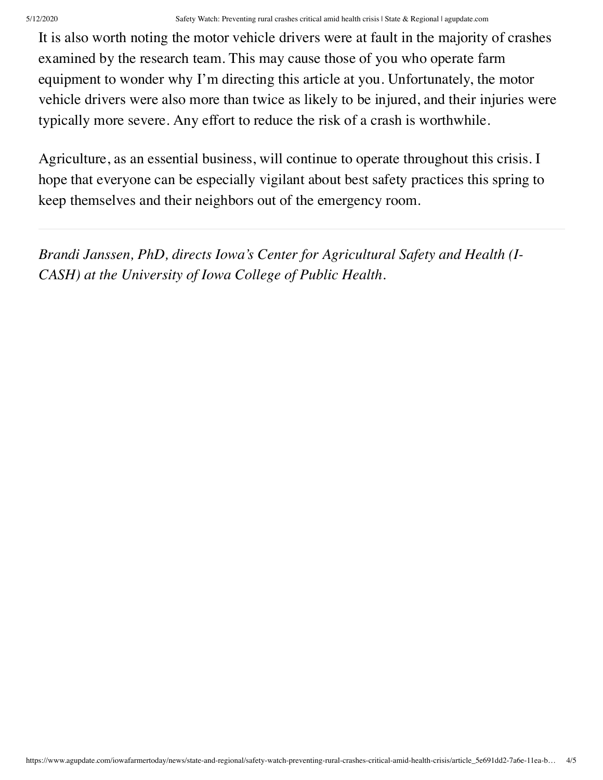## 5/12/2020 Safety Watch: Preventing rural crashes critical amid health crisis | State & Regional | agupdate.com

It is also worth noting the motor vehicle drivers were at fault in the majority of crashes examined by the research team. This may cause those of you who operate farm equipment to wonder why I'm directing this article at you. Unfortunately, the motor vehicle drivers were also more than twice as likely to be injured, and their injuries were typically more severe. Any effort to reduce the risk of a crash is worthwhile.

Agriculture, as an essential business, will continue to operate throughout this crisis. I hope that everyone can be especially vigilant about best safety practices this spring to keep themselves and their neighbors out of the emergency room.

*Brandi Janssen, PhD, directs Iowa's Center for Agricultural Safety and Health (I-CASH) at the University of Iowa College of Public Health.*